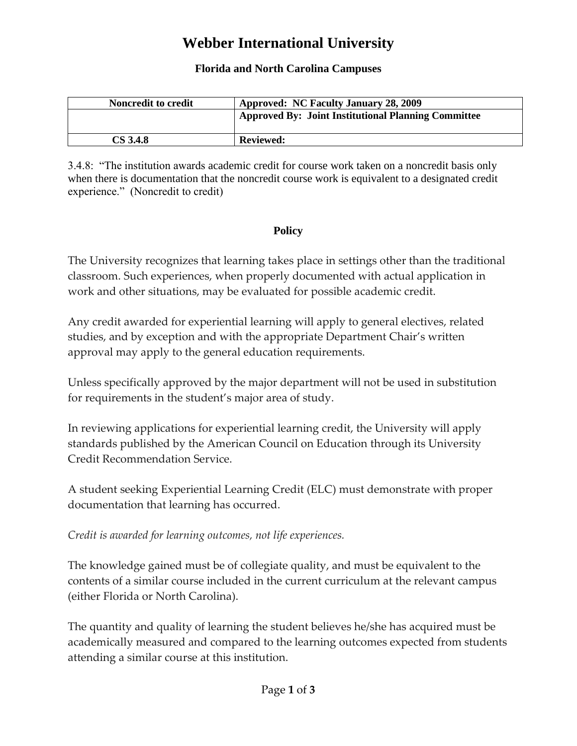# **Webber International University**

#### **Florida and North Carolina Campuses**

| <b>Noncredit to credit</b> | <b>Approved: NC Faculty January 28, 2009</b>               |
|----------------------------|------------------------------------------------------------|
|                            | <b>Approved By: Joint Institutional Planning Committee</b> |
|                            |                                                            |
| CS 3.4.8                   | <b>Reviewed:</b>                                           |

3.4.8: "The institution awards academic credit for course work taken on a noncredit basis only when there is documentation that the noncredit course work is equivalent to a designated credit experience." (Noncredit to credit)

#### **Policy**

The University recognizes that learning takes place in settings other than the traditional classroom. Such experiences, when properly documented with actual application in work and other situations, may be evaluated for possible academic credit.

Any credit awarded for experiential learning will apply to general electives, related studies, and by exception and with the appropriate Department Chair's written approval may apply to the general education requirements.

Unless specifically approved by the major department will not be used in substitution for requirements in the student's major area of study.

In reviewing applications for experiential learning credit, the University will apply standards published by the American Council on Education through its University Credit Recommendation Service.

A student seeking Experiential Learning Credit (ELC) must demonstrate with proper documentation that learning has occurred.

*Credit is awarded for learning outcomes, not life experiences.*

The knowledge gained must be of collegiate quality, and must be equivalent to the contents of a similar course included in the current curriculum at the relevant campus (either Florida or North Carolina).

The quantity and quality of learning the student believes he/she has acquired must be academically measured and compared to the learning outcomes expected from students attending a similar course at this institution.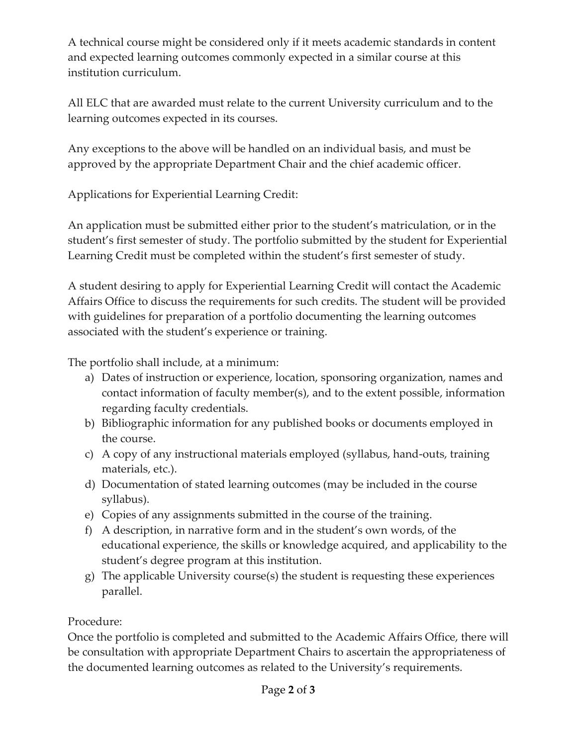A technical course might be considered only if it meets academic standards in content and expected learning outcomes commonly expected in a similar course at this institution curriculum.

All ELC that are awarded must relate to the current University curriculum and to the learning outcomes expected in its courses.

Any exceptions to the above will be handled on an individual basis, and must be approved by the appropriate Department Chair and the chief academic officer.

Applications for Experiential Learning Credit:

An application must be submitted either prior to the student's matriculation, or in the student's first semester of study. The portfolio submitted by the student for Experiential Learning Credit must be completed within the student's first semester of study.

A student desiring to apply for Experiential Learning Credit will contact the Academic Affairs Office to discuss the requirements for such credits. The student will be provided with guidelines for preparation of a portfolio documenting the learning outcomes associated with the student's experience or training.

The portfolio shall include, at a minimum:

- a) Dates of instruction or experience, location, sponsoring organization, names and contact information of faculty member(s), and to the extent possible, information regarding faculty credentials.
- b) Bibliographic information for any published books or documents employed in the course.
- c) A copy of any instructional materials employed (syllabus, hand-outs, training materials, etc.).
- d) Documentation of stated learning outcomes (may be included in the course syllabus).
- e) Copies of any assignments submitted in the course of the training.
- f) A description, in narrative form and in the student's own words, of the educational experience, the skills or knowledge acquired, and applicability to the student's degree program at this institution.
- g) The applicable University course(s) the student is requesting these experiences parallel.

## Procedure:

Once the portfolio is completed and submitted to the Academic Affairs Office, there will be consultation with appropriate Department Chairs to ascertain the appropriateness of the documented learning outcomes as related to the University's requirements.